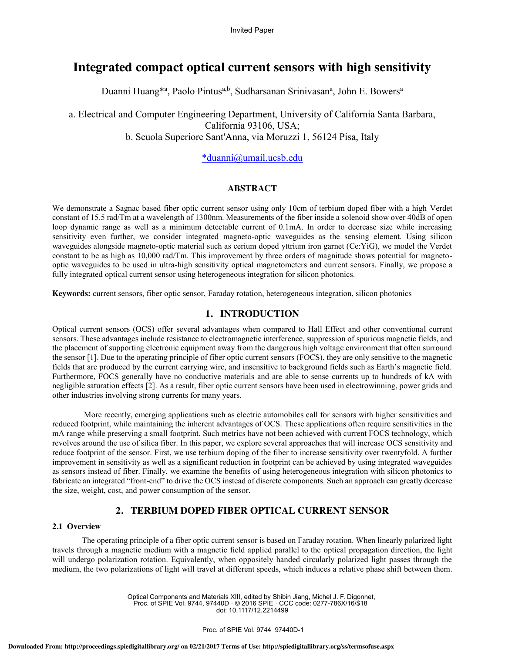# **Integrated compact optical current sensors with high sensitivity**

Duanni Huang<sup>\*a</sup>, Paolo Pintus<sup>a,b</sup>, Sudharsanan Srinivasan<sup>a</sup>, John E. Bowers<sup>a</sup>

a. Electrical and Computer Engineering Department, University of California Santa Barbara, California 93106, USA; b. Scuola Superiore Sant'Anna, via Moruzzi 1, 56124 Pisa, Italy

# \*duanni@umail.ucsb.edu

### **ABSTRACT**

We demonstrate a Sagnac based fiber optic current sensor using only 10cm of terbium doped fiber with a high Verdet constant of 15.5 rad/Tm at a wavelength of 1300nm. Measurements of the fiber inside a solenoid show over 40dB of open loop dynamic range as well as a minimum detectable current of 0.1mA. In order to decrease size while increasing sensitivity even further, we consider integrated magneto-optic waveguides as the sensing element. Using silicon waveguides alongside magneto-optic material such as cerium doped yttrium iron garnet (Ce:YiG), we model the Verdet constant to be as high as 10,000 rad/Tm. This improvement by three orders of magnitude shows potential for magnetooptic waveguides to be used in ultra-high sensitivity optical magnetometers and current sensors. Finally, we propose a fully integrated optical current sensor using heterogeneous integration for silicon photonics.

**Keywords:** current sensors, fiber optic sensor, Faraday rotation, heterogeneous integration, silicon photonics

## **1. INTRODUCTION**

Optical current sensors (OCS) offer several advantages when compared to Hall Effect and other conventional current sensors. These advantages include resistance to electromagnetic interference, suppression of spurious magnetic fields, and the placement of supporting electronic equipment away from the dangerous high voltage environment that often surround the sensor [1]. Due to the operating principle of fiber optic current sensors (FOCS), they are only sensitive to the magnetic fields that are produced by the current carrying wire, and insensitive to background fields such as Earth's magnetic field. Furthermore, FOCS generally have no conductive materials and are able to sense currents up to hundreds of kA with negligible saturation effects [2]. As a result, fiber optic current sensors have been used in electrowinning, power grids and other industries involving strong currents for many years.

 More recently, emerging applications such as electric automobiles call for sensors with higher sensitivities and reduced footprint, while maintaining the inherent advantages of OCS. These applications often require sensitivities in the mA range while preserving a small footprint. Such metrics have not been achieved with current FOCS technology, which revolves around the use of silica fiber. In this paper, we explore several approaches that will increase OCS sensitivity and reduce footprint of the sensor. First, we use terbium doping of the fiber to increase sensitivity over twentyfold. A further improvement in sensitivity as well as a significant reduction in footprint can be achieved by using integrated waveguides as sensors instead of fiber. Finally, we examine the benefits of using heterogeneous integration with silicon photonics to fabricate an integrated "front-end" to drive the OCS instead of discrete components. Such an approach can greatly decrease the size, weight, cost, and power consumption of the sensor.

# **2. TERBIUM DOPED FIBER OPTICAL CURRENT SENSOR**

### **2.1 Overview**

The operating principle of a fiber optic current sensor is based on Faraday rotation. When linearly polarized light travels through a magnetic medium with a magnetic field applied parallel to the optical propagation direction, the light will undergo polarization rotation. Equivalently, when oppositely handed circularly polarized light passes through the medium, the two polarizations of light will travel at different speeds, which induces a relative phase shift between them.

> Optical Components and Materials XIII, edited by Shibin Jiang, Michel J. F. Digonnet, Proc. of SPIE Vol. 9744, 97440D · © 2016 SPIE · CCC code: 0277-786X/16/\$18 doi: 10.1117/12.2214499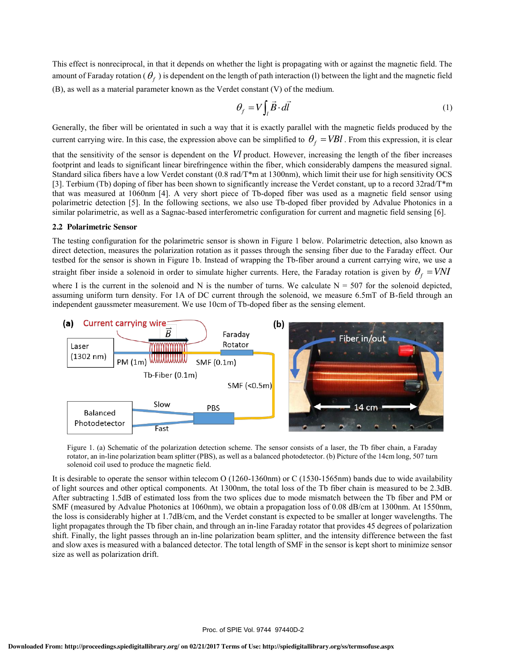This effect is nonreciprocal, in that it depends on whether the light is propagating with or against the magnetic field. The amount of Faraday rotation ( $\theta_f$ ) is dependent on the length of path interaction (l) between the light and the magnetic field (B), as well as a material parameter known as the Verdet constant (V) of the medium.

$$
\theta_f = V \int_l \vec{B} \cdot d\vec{l} \tag{1}
$$

Generally, the fiber will be orientated in such a way that it is exactly parallel with the magnetic fields produced by the current carrying wire. In this case, the expression above can be simplified to  $\theta_f = VBl$ . From this expression, it is clear

that the sensitivity of the sensor is dependent on the *Vl* product. However, increasing the length of the fiber increases footprint and leads to significant linear birefringence within the fiber, which considerably dampens the measured signal. Standard silica fibers have a low Verdet constant (0.8 rad/T\*m at 1300nm), which limit their use for high sensitivity OCS [3]. Terbium (Tb) doping of fiber has been shown to significantly increase the Verdet constant, up to a record 32rad/T\*m that was measured at 1060nm [4]. A very short piece of Tb-doped fiber was used as a magnetic field sensor using polarimetric detection [5]. In the following sections, we also use Tb-doped fiber provided by Advalue Photonics in a similar polarimetric, as well as a Sagnac-based interferometric configuration for current and magnetic field sensing [6].

#### **2.2 Polarimetric Sensor**

The testing configuration for the polarimetric sensor is shown in Figure 1 below. Polarimetric detection, also known as direct detection, measures the polarization rotation as it passes through the sensing fiber due to the Faraday effect. Our testbed for the sensor is shown in Figure 1b. Instead of wrapping the Tb-fiber around a current carrying wire, we use a

straight fiber inside a solenoid in order to simulate higher currents. Here, the Faraday rotation is given by  $\theta_f = VNI$ 

where I is the current in the solenoid and N is the number of turns. We calculate  $N = 507$  for the solenoid depicted, assuming uniform turn density. For 1A of DC current through the solenoid, we measure 6.5mT of B-field through an independent gaussmeter measurement. We use 10cm of Tb-doped fiber as the sensing element.



Figure 1. (a) Schematic of the polarization detection scheme. The sensor consists of a laser, the Tb fiber chain, a Faraday rotator, an in-line polarization beam splitter (PBS), as well as a balanced photodetector. (b) Picture of the 14cm long, 507 turn solenoid coil used to produce the magnetic field.

It is desirable to operate the sensor within telecom O (1260-1360nm) or C (1530-1565nm) bands due to wide availability of light sources and other optical components. At 1300nm, the total loss of the Tb fiber chain is measured to be 2.3dB. After subtracting 1.5dB of estimated loss from the two splices due to mode mismatch between the Tb fiber and PM or SMF (measured by Advalue Photonics at 1060nm), we obtain a propagation loss of 0.08 dB/cm at 1300nm. At 1550nm, the loss is considerably higher at 1.7dB/cm, and the Verdet constant is expected to be smaller at longer wavelengths. The light propagates through the Tb fiber chain, and through an in-line Faraday rotator that provides 45 degrees of polarization shift. Finally, the light passes through an in-line polarization beam splitter, and the intensity difference between the fast and slow axes is measured with a balanced detector. The total length of SMF in the sensor is kept short to minimize sensor size as well as polarization drift.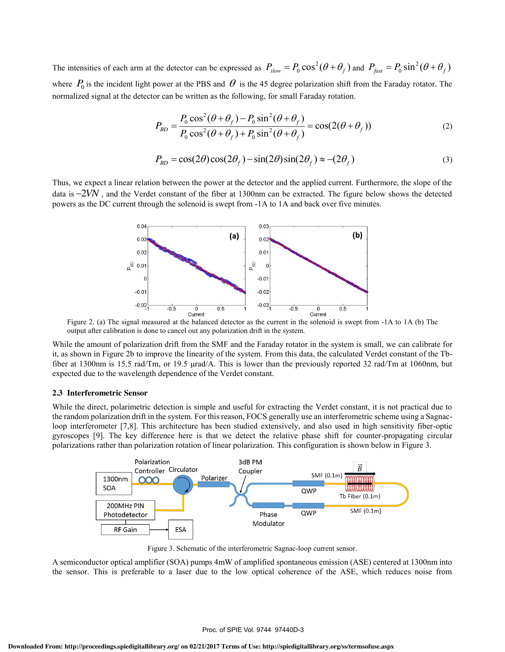The intensities of each arm at the detector can be expressed as  $P_{slow} = P_0 \cos^2(\theta + \theta_f)$  and  $P_{fast} = P_0 \sin^2(\theta + \theta_f)$ where  $P_0$  is the incident light power at the PBS and  $\theta$  is the 45 degree polarization shift from the Faraday rotator. The normalized signal at the detector can be written as the following, for small Faraday rotation.

$$
P_{BD} = \frac{P_0 \cos^2(\theta + \theta_f) - P_0 \sin^2(\theta + \theta_f)}{P_0 \cos^2(\theta + \theta_f) + P_0 \sin^2(\theta + \theta_f)} = \cos(2(\theta + \theta_f))
$$
(2)

$$
P_{BD} = \cos(2\theta)\cos(2\theta_f) - \sin(2\theta)\sin(2\theta_f) \approx -(2\theta_f)
$$
\n(3)

Thus, we expect a linear relation between the power at the detector and the applied current. Furthermore, the slope of the data is 2*VN* , and the Verdet constant of the fiber at 1300nm can be extracted. The figure below shows the detected powers as the DC current through the solenoid is swept from -1A to 1A and back over five minutes.



Figure 2. (a) The signal measured at the balanced detector as the current in the solenoid is swept from -1A to 1A (b) The output after calibration is done to cancel out any polarization drift in the system.

While the amount of polarization drift from the SMF and the Faraday rotator in the system is small, we can calibrate for it, as shown in Figure 2b to improve the linearity of the system. From this data, the calculated Verdet constant of the Tbfiber at 1300nm is 15.5 rad/Tm, or 19.5  $\mu$ rad/A. This is lower than the previously reported 32 rad/Tm at 1060nm, but expected due to the wavelength dependence of the Verdet constant.

#### **2.3 Interferometric Sensor**

While the direct, polarimetric detection is simple and useful for extracting the Verdet constant, it is not practical due to the random polarization drift in the system. For this reason, FOCS generally use an interferometric scheme using a Sagnacloop interferometer [7,8]. This architecture has been studied extensively, and also used in high sensitivity fiber-optic gyroscopes [9]. The key difference here is that we detect the relative phase shift for counter-propagating circular polarizations rather than polarization rotation of linear polarization. This configuration is shown below in Figure 3.



Figure 3. Schematic of the interferometric Sagnac-loop current sensor.

A semiconductor optical amplifier (SOA) pumps 4mW of amplified spontaneous emission (ASE) centered at 1300nm into the sensor. This is preferable to a laser due to the low optical coherence of the ASE, which reduces noise from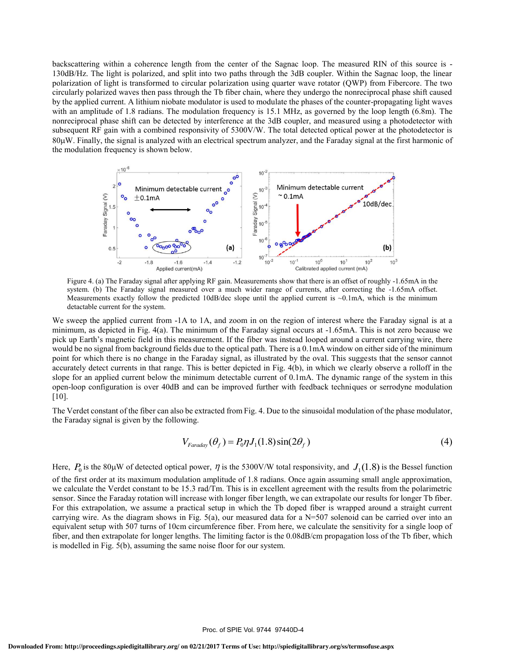backscattering within a coherence length from the center of the Sagnac loop. The measured RIN of this source is - 130dB/Hz. The light is polarized, and split into two paths through the 3dB coupler. Within the Sagnac loop, the linear polarization of light is transformed to circular polarization using quarter wave rotator (QWP) from Fibercore. The two circularly polarized waves then pass through the Tb fiber chain, where they undergo the nonreciprocal phase shift caused by the applied current. A lithium niobate modulator is used to modulate the phases of the counter-propagating light waves with an amplitude of 1.8 radians. The modulation frequency is 15.1 MHz, as governed by the loop length (6.8m). The nonreciprocal phase shift can be detected by interference at the 3dB coupler, and measured using a photodetector with subsequent RF gain with a combined responsivity of 5300V/W. The total detected optical power at the photodetector is  $80\mu$ W. Finally, the signal is analyzed with an electrical spectrum analyzer, and the Faraday signal at the first harmonic of the modulation frequency is shown below.



Figure 4. (a) The Faraday signal after applying RF gain. Measurements show that there is an offset of roughly -1.65mA in the system. (b) The Faraday signal measured over a much wider range of currents, after correcting the -1.65mA offset. Measurements exactly follow the predicted 10dB/dec slope until the applied current is  $\sim 0.1 \text{mA}$ , which is the minimum detactable current for the system.

We sweep the applied current from -1A to 1A, and zoom in on the region of interest where the Faraday signal is at a minimum, as depicted in Fig. 4(a). The minimum of the Faraday signal occurs at -1.65mA. This is not zero because we pick up Earth's magnetic field in this measurement. If the fiber was instead looped around a current carrying wire, there would be no signal from background fields due to the optical path. There is a 0.1mA window on either side of the minimum point for which there is no change in the Faraday signal, as illustrated by the oval. This suggests that the sensor cannot accurately detect currents in that range. This is better depicted in Fig. 4(b), in which we clearly observe a rolloff in the slope for an applied current below the minimum detectable current of 0.1mA. The dynamic range of the system in this open-loop configuration is over 40dB and can be improved further with feedback techniques or serrodyne modulation [10].

The Verdet constant of the fiber can also be extracted from Fig. 4. Due to the sinusoidal modulation of the phase modulator, the Faraday signal is given by the following.

$$
V_{Faraday}(\theta_f) = P_0 \eta J_1(1.8) \sin(2\theta_f)
$$
\n<sup>(4)</sup>

Here,  $P_0$  is the 80µW of detected optical power,  $\eta$  is the 5300V/W total responsivity, and  $J_1(1.8)$  is the Bessel function of the first order at its maximum modulation amplitude of 1.8 radians. Once again assuming small angle approximation, we calculate the Verdet constant to be 15.3 rad/Tm. This is in excellent agreement with the results from the polarimetric sensor. Since the Faraday rotation will increase with longer fiber length, we can extrapolate our results for longer Tb fiber. For this extrapolation, we assume a practical setup in which the Tb doped fiber is wrapped around a straight current carrying wire. As the diagram shows in Fig.  $5(a)$ , our measured data for a N=507 solenoid can be carried over into an equivalent setup with 507 turns of 10cm circumference fiber. From here, we calculate the sensitivity for a single loop of fiber, and then extrapolate for longer lengths. The limiting factor is the 0.08dB/cm propagation loss of the Tb fiber, which is modelled in Fig. 5(b), assuming the same noise floor for our system.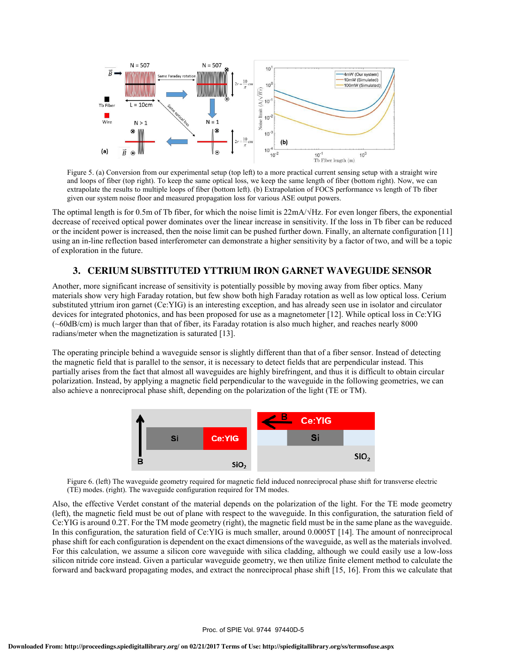

Figure 5. (a) Conversion from our experimental setup (top left) to a more practical current sensing setup with a straight wire and loops of fiber (top right). To keep the same optical loss, we keep the same length of fiber (bottom right). Now, we can extrapolate the results to multiple loops of fiber (bottom left). (b) Extrapolation of FOCS performance vs length of Tb fiber given our system noise floor and measured propagation loss for various ASE output powers.

The optimal length is for 0.5m of Tb fiber, for which the noise limit is 22mA/√Hz. For even longer fibers, the exponential decrease of received optical power dominates over the linear increase in sensitivity. If the loss in Tb fiber can be reduced or the incident power is increased, then the noise limit can be pushed further down. Finally, an alternate configuration [11] using an in-line reflection based interferometer can demonstrate a higher sensitivity by a factor of two, and will be a topic of exploration in the future.

# **3. CERIUM SUBSTITUTED YTTRIUM IRON GARNET WAVEGUIDE SENSOR**

Another, more significant increase of sensitivity is potentially possible by moving away from fiber optics. Many materials show very high Faraday rotation, but few show both high Faraday rotation as well as low optical loss. Cerium substituted yttrium iron garnet (Ce:YIG) is an interesting exception, and has already seen use in isolator and circulator devices for integrated photonics, and has been proposed for use as a magnetometer [12]. While optical loss in Ce:YIG (~60dB/cm) is much larger than that of fiber, its Faraday rotation is also much higher, and reaches nearly 8000 radians/meter when the magnetization is saturated [13].

The operating principle behind a waveguide sensor is slightly different than that of a fiber sensor. Instead of detecting the magnetic field that is parallel to the sensor, it is necessary to detect fields that are perpendicular instead. This partially arises from the fact that almost all waveguides are highly birefringent, and thus it is difficult to obtain circular polarization. Instead, by applying a magnetic field perpendicular to the waveguide in the following geometries, we can also achieve a nonreciprocal phase shift, depending on the polarization of the light (TE or TM).



Figure 6. (left) The waveguide geometry required for magnetic field induced nonreciprocal phase shift for transverse electric (TE) modes. (right). The waveguide configuration required for TM modes.

Also, the effective Verdet constant of the material depends on the polarization of the light. For the TE mode geometry (left), the magnetic field must be out of plane with respect to the waveguide. In this configuration, the saturation field of Ce:YIG is around 0.2T. For the TM mode geometry (right), the magnetic field must be in the same plane as the waveguide. In this configuration, the saturation field of Ce:YIG is much smaller, around 0.0005T [14]. The amount of nonreciprocal phase shift for each configuration is dependent on the exact dimensions of the waveguide, as well as the materials involved. For this calculation, we assume a silicon core waveguide with silica cladding, although we could easily use a low-loss silicon nitride core instead. Given a particular waveguide geometry, we then utilize finite element method to calculate the forward and backward propagating modes, and extract the nonreciprocal phase shift [15, 16]. From this we calculate that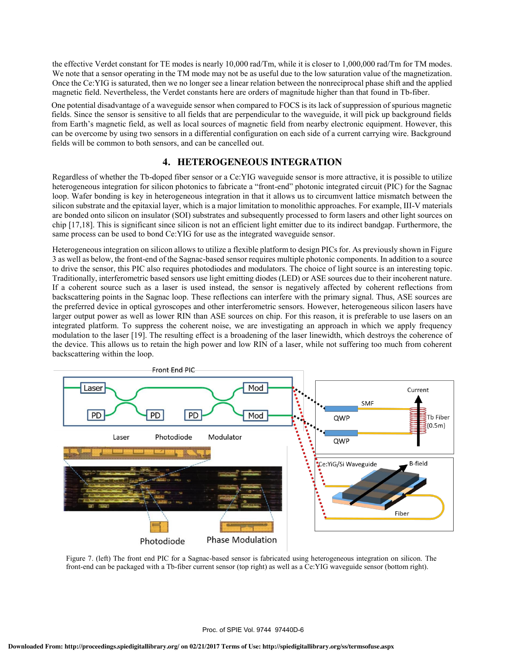the effective Verdet constant for TE modes is nearly 10,000 rad/Tm, while it is closer to 1,000,000 rad/Tm for TM modes. We note that a sensor operating in the TM mode may not be as useful due to the low saturation value of the magnetization. Once the Ce:YIG is saturated, then we no longer see a linear relation between the nonreciprocal phase shift and the applied magnetic field. Nevertheless, the Verdet constants here are orders of magnitude higher than that found in Tb-fiber.

One potential disadvantage of a waveguide sensor when compared to FOCS is its lack of suppression of spurious magnetic fields. Since the sensor is sensitive to all fields that are perpendicular to the waveguide, it will pick up background fields from Earth's magnetic field, as well as local sources of magnetic field from nearby electronic equipment. However, this can be overcome by using two sensors in a differential configuration on each side of a current carrying wire. Background fields will be common to both sensors, and can be cancelled out.

# **4. HETEROGENEOUS INTEGRATION**

Regardless of whether the Tb-doped fiber sensor or a Ce:YIG waveguide sensor is more attractive, it is possible to utilize heterogeneous integration for silicon photonics to fabricate a "front-end" photonic integrated circuit (PIC) for the Sagnac loop. Wafer bonding is key in heterogeneous integration in that it allows us to circumvent lattice mismatch between the silicon substrate and the epitaxial layer, which is a major limitation to monolithic approaches. For example, III-V materials are bonded onto silicon on insulator (SOI) substrates and subsequently processed to form lasers and other light sources on chip [17,18]. This is significant since silicon is not an efficient light emitter due to its indirect bandgap. Furthermore, the same process can be used to bond Ce:YIG for use as the integrated waveguide sensor.

Heterogeneous integration on silicon allows to utilize a flexible platform to design PICs for. As previously shown in Figure 3 as well as below, the front-end of the Sagnac-based sensor requires multiple photonic components. In addition to a source to drive the sensor, this PIC also requires photodiodes and modulators. The choice of light source is an interesting topic. Traditionally, interferometric based sensors use light emitting diodes (LED) or ASE sources due to their incoherent nature. If a coherent source such as a laser is used instead, the sensor is negatively affected by coherent reflections from backscattering points in the Sagnac loop. These reflections can interfere with the primary signal. Thus, ASE sources are the preferred device in optical gyroscopes and other interferometric sensors. However, heterogeneous silicon lasers have larger output power as well as lower RIN than ASE sources on chip. For this reason, it is preferable to use lasers on an integrated platform. To suppress the coherent noise, we are investigating an approach in which we apply frequency modulation to the laser [19]. The resulting effect is a broadening of the laser linewidth, which destroys the coherence of the device. This allows us to retain the high power and low RIN of a laser, while not suffering too much from coherent backscattering within the loop.



Figure 7. (left) The front end PIC for a Sagnac-based sensor is fabricated using heterogeneous integration on silicon. The front-end can be packaged with a Tb-fiber current sensor (top right) as well as a Ce:YIG waveguide sensor (bottom right).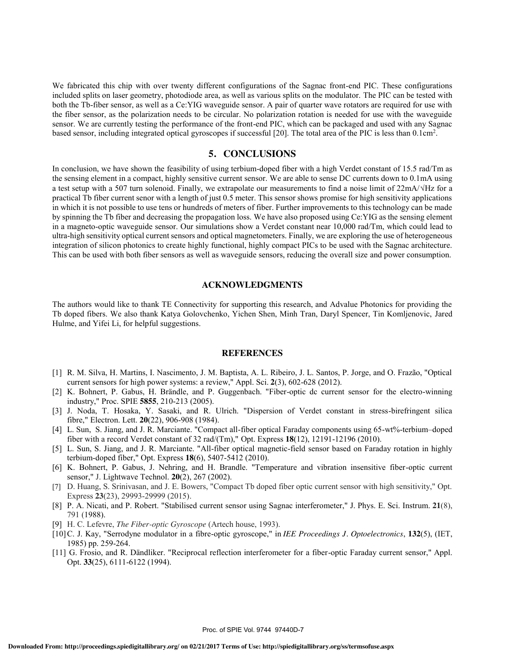We fabricated this chip with over twenty different configurations of the Sagnac front-end PIC. These configurations included splits on laser geometry, photodiode area, as well as various splits on the modulator. The PIC can be tested with both the Tb-fiber sensor, as well as a Ce:YIG waveguide sensor. A pair of quarter wave rotators are required for use with the fiber sensor, as the polarization needs to be circular. No polarization rotation is needed for use with the waveguide sensor. We are currently testing the performance of the front-end PIC, which can be packaged and used with any Sagnac based sensor, including integrated optical gyroscopes if successful [20]. The total area of the PIC is less than 0.1cm<sup>2</sup>.

### **5. CONCLUSIONS**

In conclusion, we have shown the feasibility of using terbium-doped fiber with a high Verdet constant of 15.5 rad/Tm as the sensing element in a compact, highly sensitive current sensor. We are able to sense DC currents down to 0.1mA using a test setup with a 507 turn solenoid. Finally, we extrapolate our measurements to find a noise limit of 22mA/√Hz for a practical Tb fiber current senor with a length of just 0.5 meter. This sensor shows promise for high sensitivity applications in which it is not possible to use tens or hundreds of meters of fiber. Further improvements to this technology can be made by spinning the Tb fiber and decreasing the propagation loss. We have also proposed using Ce:YIG as the sensing element in a magneto-optic waveguide sensor. Our simulations show a Verdet constant near 10,000 rad/Tm, which could lead to ultra-high sensitivity optical current sensors and optical magnetometers. Finally, we are exploring the use of heterogeneous integration of silicon photonics to create highly functional, highly compact PICs to be used with the Sagnac architecture. This can be used with both fiber sensors as well as waveguide sensors, reducing the overall size and power consumption.

### **ACKNOWLEDGMENTS**

The authors would like to thank TE Connectivity for supporting this research, and Advalue Photonics for providing the Tb doped fibers. We also thank Katya Golovchenko, Yichen Shen, Minh Tran, Daryl Spencer, Tin Komljenovic, Jared Hulme, and Yifei Li, for helpful suggestions.

#### **REFERENCES**

- [1] R. M. Silva, H. Martins, I. Nascimento, J. M. Baptista, A. L. Ribeiro, J. L. Santos, P. Jorge, and O. Frazão, "Optical current sensors for high power systems: a review," Appl. Sci. **2**(3), 602-628 (2012).
- [2] K. Bohnert, P. Gabus, H. Brändle, and P. Guggenbach. "Fiber-optic dc current sensor for the electro-winning industry," Proc. SPIE **5855**, 210-213 (2005).
- [3] J. Noda, T. Hosaka, Y. Sasaki, and R. Ulrich. "Dispersion of Verdet constant in stress-birefringent silica fibre," Electron. Lett. **20**(22), 906-908 (1984).
- [4] L. Sun, S. Jiang, and J. R. Marciante. "Compact all-fiber optical Faraday components using 65-wt%-terbium–doped fiber with a record Verdet constant of 32 rad/(Tm)," Opt. Express **18**(12), 12191-12196 (2010).
- [5] L. Sun, S. Jiang, and J. R. Marciante. "All-fiber optical magnetic-field sensor based on Faraday rotation in highly terbium-doped fiber," Opt. Express **18**(6), 5407-5412 (2010).
- [6] K. Bohnert, P. Gabus, J. Nehring, and H. Brandle. "Temperature and vibration insensitive fiber-optic current sensor," J. Lightwave Technol. **20**(2), 267 (2002).
- [7] D. Huang, S. Srinivasan, and J. E. Bowers, "Compact Tb doped fiber optic current sensor with high sensitivity," Opt. Express **23**(23), 29993-29999 (2015).
- [8] P. A. Nicati, and P. Robert. "Stabilised current sensor using Sagnac interferometer," J. Phys. E. Sci. Instrum. **21**(8), 791 (1988).
- [9] H. C. Lefevre, *The Fiber-optic Gyroscope* (Artech house, 1993).
- [10]C. J. Kay, "Serrodyne modulator in a fibre-optic gyroscope," in *IEE Proceedings J. Optoelectronics*, **132**(5), (IET, 1985) pp. 259-264.
- [11] G. Frosio, and R. Dändliker. "Reciprocal reflection interferometer for a fiber-optic Faraday current sensor," Appl. Opt. **33**(25), 6111-6122 (1994).